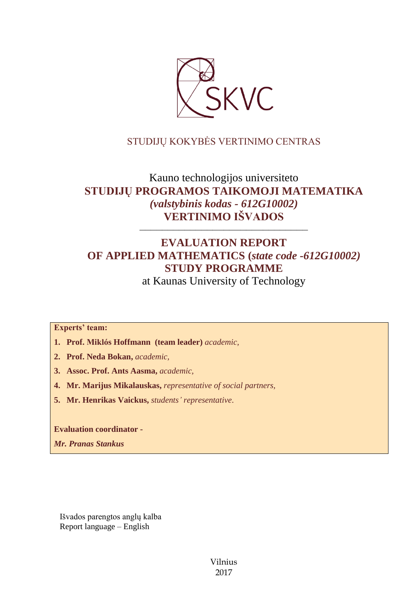

## STUDIJŲ KOKYBĖS VERTINIMO CENTRAS

# Kauno technologijos universiteto **STUDIJŲ PROGRAMOS TAIKOMOJI MATEMATIKA** *(valstybinis kodas - 612G10002)* **VERTINIMO IŠVADOS**

# **EVALUATION REPORT OF APPLIED MATHEMATICS (***state code -612G10002)* **STUDY PROGRAMME**

––––––––––––––––––––––––––––––

at Kaunas University of Technology

**Experts' team:** 

- **1. Prof. Miklós Hoffmann (team leader)** *academic,*
- **2. Prof. Neda Bokan,** *academic,*
- **3. Assoc. Prof. Ants Aasma,** *academic,*
- **4. Mr. Marijus Mikalauskas,** *representative of social partners,*
- **5. Mr. Henrikas Vaickus,** *students' representative*.

**Evaluation coordinator -**

*Mr. Pranas Stankus*

Išvados parengtos anglų kalba Report language – English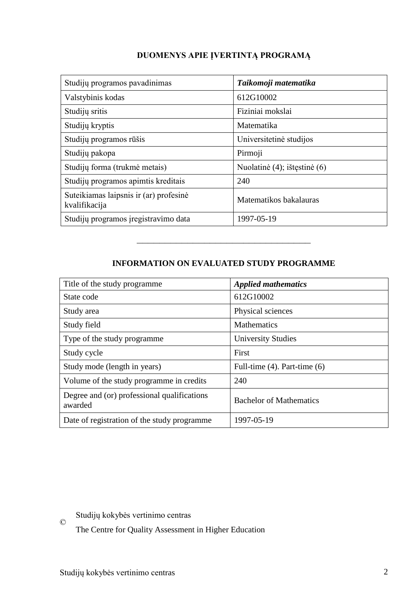## **DUOMENYS APIE ĮVERTINTĄ PROGRAMĄ**

| Studijų programos pavadinimas                           | Taikomoji matematika         |
|---------------------------------------------------------|------------------------------|
| Valstybinis kodas                                       | 612G10002                    |
| Studijų sritis                                          | Fiziniai mokslai             |
| Studijų kryptis                                         | Matematika                   |
| Studijų programos rūšis                                 | Universitetinė studijos      |
| Studijų pakopa                                          | Pirmoji                      |
| Studijų forma (trukmė metais)                           | Nuolatinė (4); ištęstinė (6) |
| Studijų programos apimtis kreditais                     | 240                          |
| Suteikiamas laipsnis ir (ar) profesinė<br>kvalifikacija | Matematikos bakalauras       |
| Studijų programos įregistravimo data                    | 1997-05-19                   |

## **INFORMATION ON EVALUATED STUDY PROGRAMME**

–––––––––––––––––––––––––––––––

| Title of the study programme.                          | <b>Applied mathematics</b>        |
|--------------------------------------------------------|-----------------------------------|
| State code                                             | 612G10002                         |
| Study area                                             | Physical sciences                 |
| Study field                                            | <b>Mathematics</b>                |
| Type of the study programme                            | <b>University Studies</b>         |
| Study cycle                                            | First                             |
| Study mode (length in years)                           | Full-time $(4)$ . Part-time $(6)$ |
| Volume of the study programme in credits               | 240                               |
| Degree and (or) professional qualifications<br>awarded | <b>Bachelor of Mathematics</b>    |
| Date of registration of the study programme            | 1997-05-19                        |

Studijų kokybės vertinimo centras

The Centre for Quality Assessment in Higher Education

©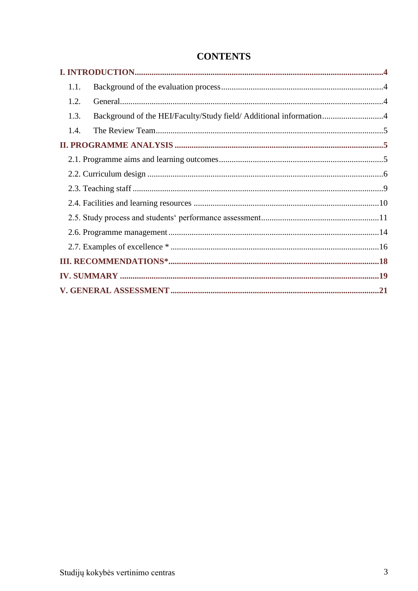| 1.1.                                                                       |  |
|----------------------------------------------------------------------------|--|
| 1.2.                                                                       |  |
| Background of the HEI/Faculty/Study field/ Additional information4<br>1.3. |  |
| 1.4.                                                                       |  |
|                                                                            |  |
|                                                                            |  |
|                                                                            |  |
|                                                                            |  |
|                                                                            |  |
|                                                                            |  |
|                                                                            |  |
|                                                                            |  |
|                                                                            |  |
|                                                                            |  |
|                                                                            |  |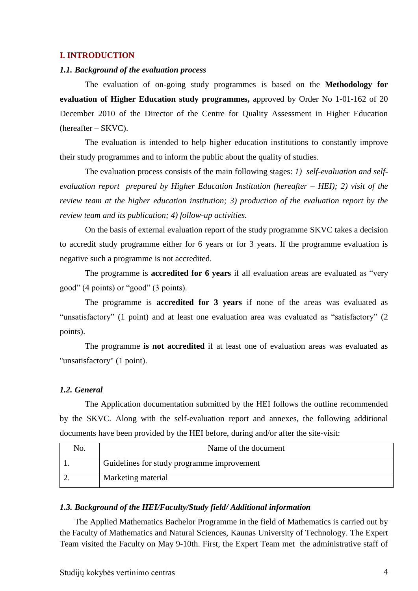#### <span id="page-3-0"></span>**I. INTRODUCTION**

#### <span id="page-3-1"></span>*1.1. Background of the evaluation process*

The evaluation of on-going study programmes is based on the **Methodology for evaluation of Higher Education study programmes,** approved by Order No 1-01-162 of 20 December 2010 of the Director of the Centre for Quality Assessment in Higher Education (hereafter – SKVC).

The evaluation is intended to help higher education institutions to constantly improve their study programmes and to inform the public about the quality of studies.

The evaluation process consists of the main following stages: *1) self-evaluation and selfevaluation report prepared by Higher Education Institution (hereafter – HEI); 2) visit of the review team at the higher education institution; 3) production of the evaluation report by the review team and its publication; 4) follow-up activities.* 

On the basis of external evaluation report of the study programme SKVC takes a decision to accredit study programme either for 6 years or for 3 years. If the programme evaluation is negative such a programme is not accredited.

The programme is **accredited for 6 years** if all evaluation areas are evaluated as "very good" (4 points) or "good" (3 points).

The programme is **accredited for 3 years** if none of the areas was evaluated as "unsatisfactory" (1 point) and at least one evaluation area was evaluated as "satisfactory" (2 points).

The programme **is not accredited** if at least one of evaluation areas was evaluated as "unsatisfactory" (1 point).

#### <span id="page-3-2"></span>*1.2. General*

The Application documentation submitted by the HEI follows the outline recommended by the SKVC. Along with the self-evaluation report and annexes, the following additional documents have been provided by the HEI before, during and/or after the site-visit:

| No. | Name of the document                       |
|-----|--------------------------------------------|
|     | Guidelines for study programme improvement |
|     | Marketing material                         |

#### <span id="page-3-3"></span>*1.3. Background of the HEI/Faculty/Study field/ Additional information*

The Applied Mathematics Bachelor Programme in the field of Mathematics is carried out by the Faculty of Mathematics and Natural Sciences, Kaunas University of Technology. The Expert Team visited the Faculty on May 9-10th. First, the Expert Team met the administrative staff of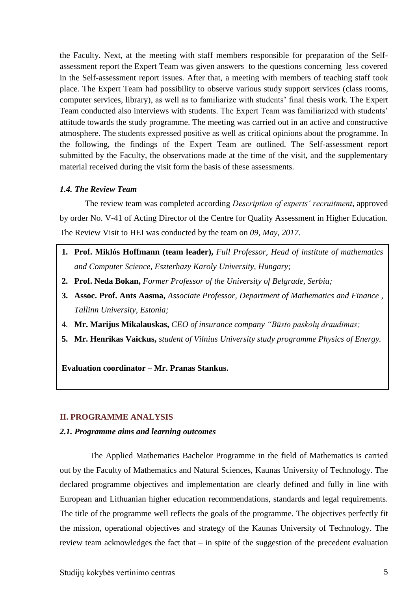the Faculty. Next, at the meeting with staff members responsible for preparation of the Selfassessment report the Expert Team was given answers to the questions concerning less covered in the Self-assessment report issues. After that, a meeting with members of teaching staff took place. The Expert Team had possibility to observe various study support services (class rooms, computer services, library), as well as to familiarize with students' final thesis work. The Expert Team conducted also interviews with students. The Expert Team was familiarized with students' attitude towards the study programme. The meeting was carried out in an active and constructive atmosphere. The students expressed positive as well as critical opinions about the programme. In the following, the findings of the Expert Team are outlined. The Self-assessment report submitted by the Faculty, the observations made at the time of the visit, and the supplementary material received during the visit form the basis of these assessments.

#### <span id="page-4-0"></span>*1.4. The Review Team*

The review team was completed according *Description of experts' recruitment*, approved by order No. V-41 of Acting Director of the Centre for Quality Assessment in Higher Education. The Review Visit to HEI was conducted by the team on *09, May, 2017.*

- **1. Prof. Miklós Hoffmann (team leader),** *Full Professor, Head of institute of mathematics and Computer Science, Eszterhazy Karoly University, Hungary;*
- **2. Prof. Neda Bokan,** *Former Professor of the University of Belgrade, Serbia;*
- **3. Assoc. Prof. Ants Aasma,** *Associate Professor, Department of Mathematics and Finance , Tallinn University, Estonia;*
- 4. **Mr. Marijus Mikalauskas,** *CEO of insurance company "Būsto paskolų draudimas;*
- <span id="page-4-1"></span>**5. Mr. Henrikas Vaickus,** *student of Vilnius University study programme Physics of Energy.*

**Evaluation coordinator – Mr. Pranas Stankus.**

## **II. PROGRAMME ANALYSIS**

#### <span id="page-4-2"></span>*2.1. Programme aims and learning outcomes*

The Applied Mathematics Bachelor Programme in the field of Mathematics is carried out by the Faculty of Mathematics and Natural Sciences, Kaunas University of Technology. The declared programme objectives and implementation are clearly defined and fully in line with European and Lithuanian higher education recommendations, standards and legal requirements. The title of the programme well reflects the goals of the programme. The objectives perfectly fit the mission, operational objectives and strategy of the Kaunas University of Technology. The review team acknowledges the fact that – in spite of the suggestion of the precedent evaluation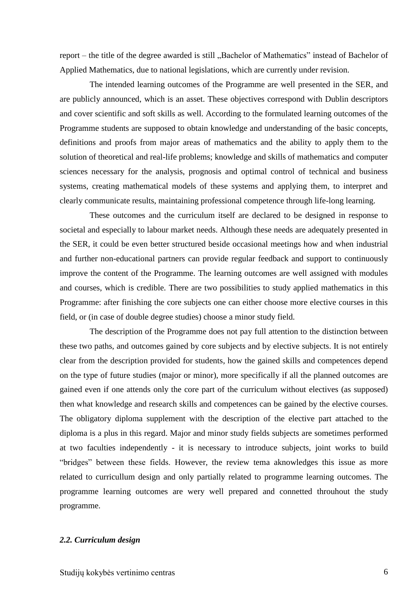report – the title of the degree awarded is still "Bachelor of Mathematics" instead of Bachelor of Applied Mathematics, due to national legislations, which are currently under revision.

The intended learning outcomes of the Programme are well presented in the SER, and are publicly announced, which is an asset. These objectives correspond with Dublin descriptors and cover scientific and soft skills as well. According to the formulated learning outcomes of the Programme students are supposed to obtain knowledge and understanding of the basic concepts, definitions and proofs from major areas of mathematics and the ability to apply them to the solution of theoretical and real-life problems; knowledge and skills of mathematics and computer sciences necessary for the analysis, prognosis and optimal control of technical and business systems, creating mathematical models of these systems and applying them, to interpret and clearly communicate results, maintaining professional competence through life-long learning.

These outcomes and the curriculum itself are declared to be designed in response to societal and especially to labour market needs. Although these needs are adequately presented in the SER, it could be even better structured beside occasional meetings how and when industrial and further non-educational partners can provide regular feedback and support to continuously improve the content of the Programme. The learning outcomes are well assigned with modules and courses, which is credible. There are two possibilities to study applied mathematics in this Programme: after finishing the core subjects one can either choose more elective courses in this field, or (in case of double degree studies) choose a minor study field.

The description of the Programme does not pay full attention to the distinction between these two paths, and outcomes gained by core subjects and by elective subjects. It is not entirely clear from the description provided for students, how the gained skills and competences depend on the type of future studies (major or minor), more specifically if all the planned outcomes are gained even if one attends only the core part of the curriculum without electives (as supposed) then what knowledge and research skills and competences can be gained by the elective courses. The obligatory diploma supplement with the description of the elective part attached to the diploma is a plus in this regard. Major and minor study fields subjects are sometimes performed at two faculties independently - it is necessary to introduce subjects, joint works to build "bridges" between these fields. However, the review tema aknowledges this issue as more related to curricullum design and only partially related to programme learning outcomes. The programme learning outcomes are wery well prepared and connetted throuhout the study programme.

#### <span id="page-5-0"></span>*2.2. Curriculum design*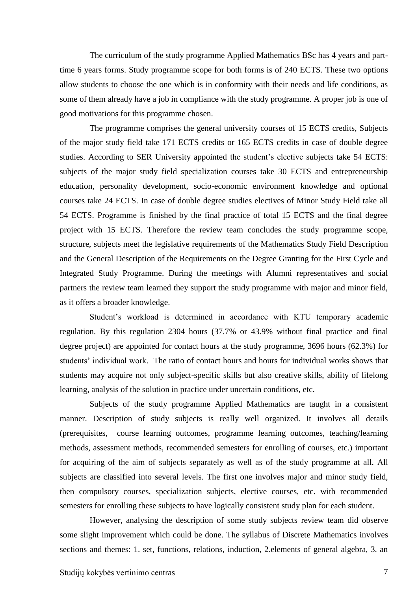The curriculum of the study programme Applied Mathematics BSc has 4 years and parttime 6 years forms. Study programme scope for both forms is of 240 ECTS. These two options allow students to choose the one which is in conformity with their needs and life conditions, as some of them already have a job in compliance with the study programme. A proper job is one of good motivations for this programme chosen.

The programme comprises the general university courses of 15 ECTS credits, Subjects of the major study field take 171 ECTS credits or 165 ECTS credits in case of double degree studies. According to SER University appointed the student's elective subjects take 54 ECTS: subjects of the major study field specialization courses take 30 ECTS and entrepreneurship education, personality development, socio-economic environment knowledge and optional courses take 24 ECTS. In case of double degree studies electives of Minor Study Field take all 54 ECTS. Programme is finished by the final practice of total 15 ECTS and the final degree project with 15 ECTS. Therefore the review team concludes the study programme scope, structure, subjects meet the legislative requirements of the Mathematics Study Field Description and the General Description of the Requirements on the Degree Granting for the First Cycle and Integrated Study Programme. During the meetings with Alumni representatives and social partners the review team learned they support the study programme with major and minor field, as it offers a broader knowledge.

Student's workload is determined in accordance with KTU temporary academic regulation. By this regulation 2304 hours (37.7% or 43.9% without final practice and final degree project) are appointed for contact hours at the study programme, 3696 hours (62.3%) for students' individual work. The ratio of contact hours and hours for individual works shows that students may acquire not only subject-specific skills but also creative skills, ability of lifelong learning, analysis of the solution in practice under uncertain conditions, etc.

Subjects of the study programme Applied Mathematics are taught in a consistent manner. Description of study subjects is really well organized. It involves all details (prerequisites, course learning outcomes, programme learning outcomes, teaching/learning methods, assessment methods, recommended semesters for enrolling of courses, etc.) important for acquiring of the aim of subjects separately as well as of the study programme at all. All subjects are classified into several levels. The first one involves major and minor study field, then compulsory courses, specialization subjects, elective courses, etc. with recommended semesters for enrolling these subjects to have logically consistent study plan for each student.

However, analysing the description of some study subjects review team did observe some slight improvement which could be done. The syllabus of Discrete Mathematics involves sections and themes: 1. set, functions, relations, induction, 2.elements of general algebra, 3. an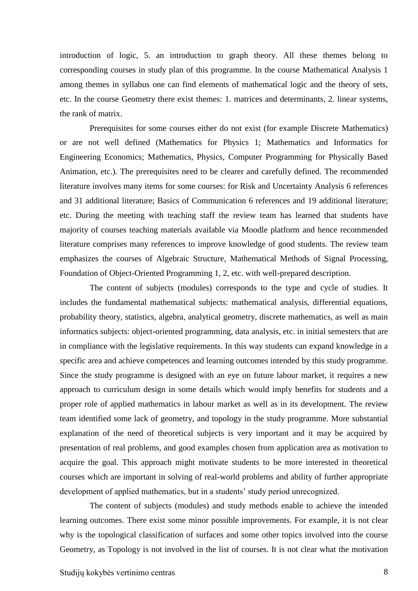introduction of logic, 5. an introduction to graph theory. All these themes belong to corresponding courses in study plan of this programme. In the course Mathematical Analysis 1 among themes in syllabus one can find elements of mathematical logic and the theory of sets, etc. In the course Geometry there exist themes: 1. matrices and determinants, 2. linear systems, the rank of matrix.

Prerequisites for some courses either do not exist (for example Discrete Mathematics) or are not well defined (Mathematics for Physics 1; Mathematics and Informatics for Engineering Economics; Mathematics, Physics, Computer Programming for Physically Based Animation, etc.). The prerequisites need to be clearer and carefully defined. The recommended literature involves many items for some courses: for Risk and Uncertainty Analysis 6 references and 31 additional literature; Basics of Communication 6 references and 19 additional literature; etc. During the meeting with teaching staff the review team has learned that students have majority of courses teaching materials available via Moodle platform and hence recommended literature comprises many references to improve knowledge of good students. The review team emphasizes the courses of Algebraic Structure, Mathematical Methods of Signal Processing, Foundation of Object-Oriented Programming 1, 2, etc. with well-prepared description.

The content of subjects (modules) corresponds to the type and cycle of studies. It includes the fundamental mathematical subjects: mathematical analysis, differential equations, probability theory, statistics, algebra, analytical geometry, discrete mathematics, as well as main informatics subjects: object-oriented programming, data analysis, etc. in initial semesters that are in compliance with the legislative requirements. In this way students can expand knowledge in a specific area and achieve competences and learning outcomes intended by this study programme. Since the study programme is designed with an eye on future labour market, it requires a new approach to curriculum design in some details which would imply benefits for students and a proper role of applied mathematics in labour market as well as in its development. The review team identified some lack of geometry, and topology in the study programme. More substantial explanation of the need of theoretical subjects is very important and it may be acquired by presentation of real problems, and good examples chosen from application area as motivation to acquire the goal. This approach might motivate students to be more interested in theoretical courses which are important in solving of real-world problems and ability of further appropriate development of applied mathematics, but in a students' study period unrecognized.

The content of subjects (modules) and study methods enable to achieve the intended learning outcomes. There exist some minor possible improvements. For example, it is not clear why is the topological classification of surfaces and some other topics involved into the course Geometry, as Topology is not involved in the list of courses. It is not clear what the motivation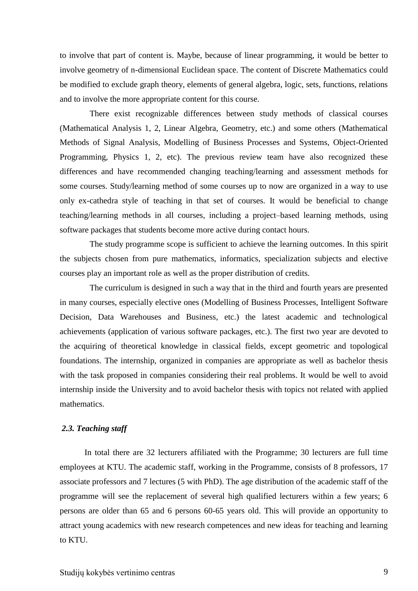to involve that part of content is. Maybe, because of linear programming, it would be better to involve geometry of n-dimensional Euclidean space. The content of Discrete Mathematics could be modified to exclude graph theory, elements of general algebra, logic, sets, functions, relations and to involve the more appropriate content for this course.

There exist recognizable differences between study methods of classical courses (Mathematical Analysis 1, 2, Linear Algebra, Geometry, etc.) and some others (Mathematical Methods of Signal Analysis, Modelling of Business Processes and Systems, Object-Oriented Programming, Physics 1, 2, etc). The previous review team have also recognized these differences and have recommended changing teaching/learning and assessment methods for some courses. Study/learning method of some courses up to now are organized in a way to use only ex-cathedra style of teaching in that set of courses. It would be beneficial to change teaching/learning methods in all courses, including a project–based learning methods, using software packages that students become more active during contact hours.

The study programme scope is sufficient to achieve the learning outcomes. In this spirit the subjects chosen from pure mathematics, informatics, specialization subjects and elective courses play an important role as well as the proper distribution of credits.

The curriculum is designed in such a way that in the third and fourth years are presented in many courses, especially elective ones (Modelling of Business Processes, Intelligent Software Decision, Data Warehouses and Business, etc.) the latest academic and technological achievements (application of various software packages, etc.). The first two year are devoted to the acquiring of theoretical knowledge in classical fields, except geometric and topological foundations. The internship, organized in companies are appropriate as well as bachelor thesis with the task proposed in companies considering their real problems. It would be well to avoid internship inside the University and to avoid bachelor thesis with topics not related with applied mathematics.

#### <span id="page-8-0"></span>*2.3. Teaching staff*

In total there are 32 lecturers affiliated with the Programme; 30 lecturers are full time employees at KTU. The academic staff, working in the Programme, consists of 8 professors, 17 associate professors and 7 lectures (5 with PhD). The age distribution of the academic staff of the programme will see the replacement of several high qualified lecturers within a few years; 6 persons are older than 65 and 6 persons 60-65 years old. This will provide an opportunity to attract young academics with new research competences and new ideas for teaching and learning to KTU.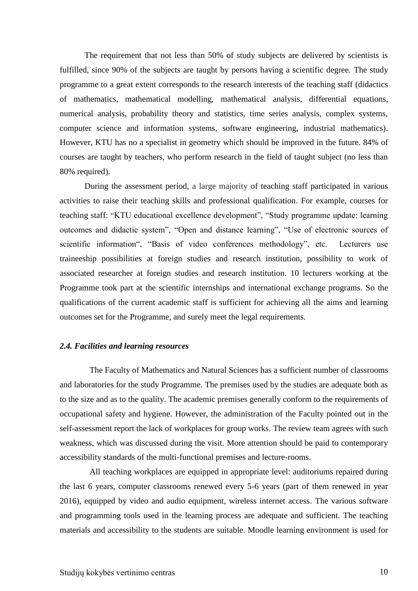The requirement that not less than 50% of study subjects are delivered by scientists is fulfilled, since 90% of the subjects are taught by persons having a scientific degree. The study programme to a great extent corresponds to the research interests of the teaching staff (didactics of mathematics, mathematical modelling, mathematical analysis, differential equations, numerical analysis, probability theory and statistics, time series analysis, complex systems, computer science and information systems, software engineering, industrial mathematics). However, KTU has no a specialist in geometry which should be improved in the future. 84% of courses are taught by teachers, who perform research in the field of taught subject (no less than 80% required).

During the assessment period, a large majority of teaching staff participated in various activities to raise their teaching skills and professional qualification. For example, courses for teaching staff: "KTU educational excellence development", "Study programme update: learning outcomes and didactic system", "Open and distance learning", "Use of electronic sources of scientific information", "Basis of video conferences methodology", etc. Lecturers use traineeship possibilities at foreign studies and research institution, possibility to work of associated researcher at foreign studies and research institution. 10 lecturers working at the Programme took part at the scientific internships and international exchange programs. So the qualifications of the current academic staff is sufficient for achieving all the aims and learning outcomes set for the Programme, and surely meet the legal requirements.

#### <span id="page-9-0"></span>*2.4. Facilities and learning resources*

The Faculty of Mathematics and Natural Sciences has a sufficient number of classrooms and laboratories for the study Programme. The premises used by the studies are adequate both as to the size and as to the quality. The academic premises generally conform to the requirements of occupational safety and hygiene. However, the administration of the Faculty pointed out in the self-assessment report the lack of workplaces for group works. The review team agrees with such weakness, which was discussed during the visit. More attention should be paid to contemporary accessibility standards of the multi-functional premises and lecture-rooms.

All teaching workplaces are equipped in appropriate level: auditoriums repaired during the last 6 years, computer classrooms renewed every 5-6 years (part of them renewed in year 2016), equipped by video and audio equipment, wireless internet access. The various software and programming tools used in the learning process are adequate and sufficient. The teaching materials and accessibility to the students are suitable. Moodle learning environment is used for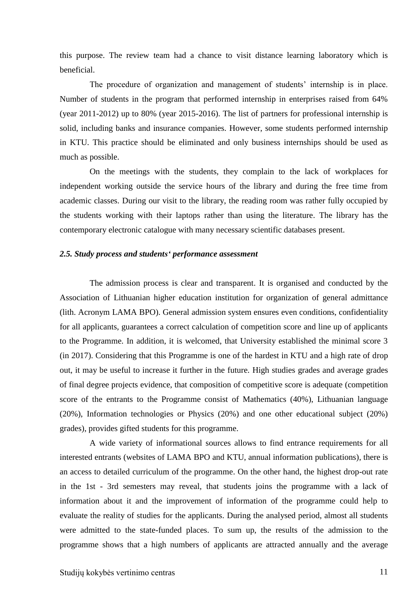this purpose. The review team had a chance to visit distance learning laboratory which is beneficial.

The procedure of organization and management of students' internship is in place. Number of students in the program that performed internship in enterprises raised from 64% (year 2011-2012) up to 80% (year 2015-2016). The list of partners for professional internship is solid, including banks and insurance companies. However, some students performed internship in KTU. This practice should be eliminated and only business internships should be used as much as possible.

On the meetings with the students, they complain to the lack of workplaces for independent working outside the service hours of the library and during the free time from academic classes. During our visit to the library, the reading room was rather fully occupied by the students working with their laptops rather than using the literature. The library has the contemporary electronic catalogue with many necessary scientific databases present.

#### <span id="page-10-0"></span>*2.5. Study process and students' performance assessment*

The admission process is clear and transparent. It is organised and conducted by the Association of Lithuanian higher education institution for organization of general admittance (lith. Acronym LAMA BPO). General admission system ensures even conditions, confidentiality for all applicants, guarantees a correct calculation of competition score and line up of applicants to the Programme. In addition, it is welcomed, that University established the minimal score 3 (in 2017). Considering that this Programme is one of the hardest in KTU and a high rate of drop out, it may be useful to increase it further in the future. High studies grades and average grades of final degree projects evidence, that composition of competitive score is adequate (competition score of the entrants to the Programme consist of Mathematics (40%), Lithuanian language (20%), Information technologies or Physics (20%) and one other educational subject (20%) grades), provides gifted students for this programme.

A wide variety of informational sources allows to find entrance requirements for all interested entrants (websites of LAMA BPO and KTU, annual information publications), there is an access to detailed curriculum of the programme. On the other hand, the highest drop-out rate in the 1st - 3rd semesters may reveal, that students joins the programme with a lack of information about it and the improvement of information of the programme could help to evaluate the reality of studies for the applicants. During the analysed period, almost all students were admitted to the state-funded places. To sum up, the results of the admission to the programme shows that a high numbers of applicants are attracted annually and the average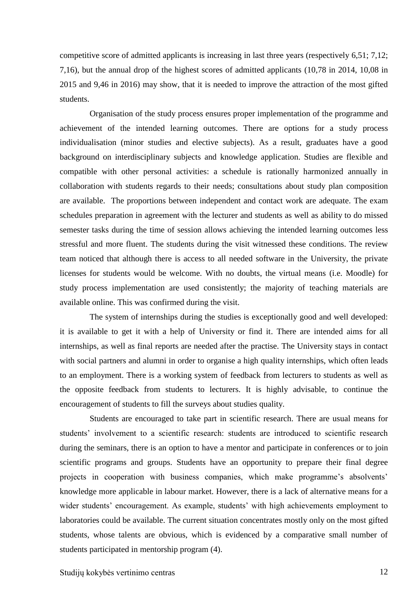competitive score of admitted applicants is increasing in last three years (respectively 6,51; 7,12; 7,16), but the annual drop of the highest scores of admitted applicants (10,78 in 2014, 10,08 in 2015 and 9,46 in 2016) may show, that it is needed to improve the attraction of the most gifted students.

Organisation of the study process ensures proper implementation of the programme and achievement of the intended learning outcomes. There are options for a study process individualisation (minor studies and elective subjects). As a result, graduates have a good background on interdisciplinary subjects and knowledge application. Studies are flexible and compatible with other personal activities: a schedule is rationally harmonized annually in collaboration with students regards to their needs; consultations about study plan composition are available. The proportions between independent and contact work are adequate. The exam schedules preparation in agreement with the lecturer and students as well as ability to do missed semester tasks during the time of session allows achieving the intended learning outcomes less stressful and more fluent. The students during the visit witnessed these conditions. The review team noticed that although there is access to all needed software in the University, the private licenses for students would be welcome. With no doubts, the virtual means (i.e. Moodle) for study process implementation are used consistently; the majority of teaching materials are available online. This was confirmed during the visit.

The system of internships during the studies is exceptionally good and well developed: it is available to get it with a help of University or find it. There are intended aims for all internships, as well as final reports are needed after the practise. The University stays in contact with social partners and alumni in order to organise a high quality internships, which often leads to an employment. There is a working system of feedback from lecturers to students as well as the opposite feedback from students to lecturers. It is highly advisable, to continue the encouragement of students to fill the surveys about studies quality.

Students are encouraged to take part in scientific research. There are usual means for students' involvement to a scientific research: students are introduced to scientific research during the seminars, there is an option to have a mentor and participate in conferences or to join scientific programs and groups. Students have an opportunity to prepare their final degree projects in cooperation with business companies, which make programme's absolvents' knowledge more applicable in labour market. However, there is a lack of alternative means for a wider students' encouragement. As example, students' with high achievements employment to laboratories could be available. The current situation concentrates mostly only on the most gifted students, whose talents are obvious, which is evidenced by a comparative small number of students participated in mentorship program (4).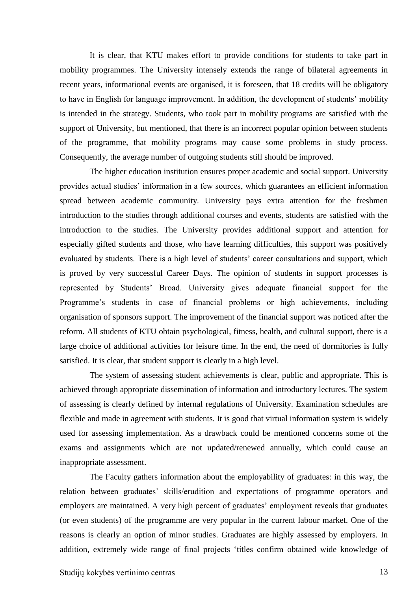It is clear, that KTU makes effort to provide conditions for students to take part in mobility programmes. The University intensely extends the range of bilateral agreements in recent years, informational events are organised, it is foreseen, that 18 credits will be obligatory to have in English for language improvement. In addition, the development of students' mobility is intended in the strategy. Students, who took part in mobility programs are satisfied with the support of University, but mentioned, that there is an incorrect popular opinion between students of the programme, that mobility programs may cause some problems in study process. Consequently, the average number of outgoing students still should be improved.

The higher education institution ensures proper academic and social support. University provides actual studies' information in a few sources, which guarantees an efficient information spread between academic community. University pays extra attention for the freshmen introduction to the studies through additional courses and events, students are satisfied with the introduction to the studies. The University provides additional support and attention for especially gifted students and those, who have learning difficulties, this support was positively evaluated by students. There is a high level of students' career consultations and support, which is proved by very successful Career Days. The opinion of students in support processes is represented by Students' Broad. University gives adequate financial support for the Programme's students in case of financial problems or high achievements, including organisation of sponsors support. The improvement of the financial support was noticed after the reform. All students of KTU obtain psychological, fitness, health, and cultural support, there is a large choice of additional activities for leisure time. In the end, the need of dormitories is fully satisfied. It is clear, that student support is clearly in a high level.

The system of assessing student achievements is clear, public and appropriate. This is achieved through appropriate dissemination of information and introductory lectures. The system of assessing is clearly defined by internal regulations of University. Examination schedules are flexible and made in agreement with students. It is good that virtual information system is widely used for assessing implementation. As a drawback could be mentioned concerns some of the exams and assignments which are not updated/renewed annually, which could cause an inappropriate assessment.

The Faculty gathers information about the employability of graduates: in this way, the relation between graduates' skills/erudition and expectations of programme operators and employers are maintained. A very high percent of graduates' employment reveals that graduates (or even students) of the programme are very popular in the current labour market. One of the reasons is clearly an option of minor studies. Graduates are highly assessed by employers. In addition, extremely wide range of final projects 'titles confirm obtained wide knowledge of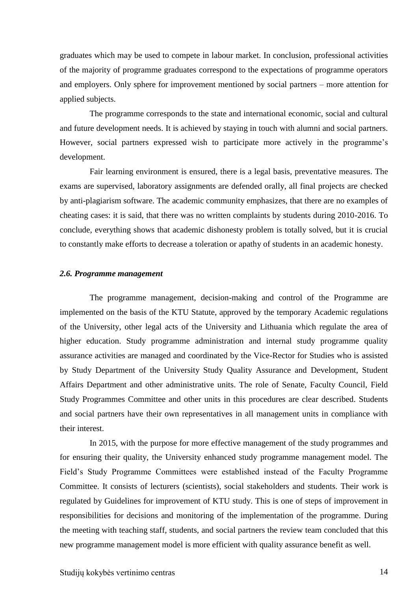graduates which may be used to compete in labour market. In conclusion, professional activities of the majority of programme graduates correspond to the expectations of programme operators and employers. Only sphere for improvement mentioned by social partners – more attention for applied subjects.

The programme corresponds to the state and international economic, social and cultural and future development needs. It is achieved by staying in touch with alumni and social partners. However, social partners expressed wish to participate more actively in the programme's development.

Fair learning environment is ensured, there is a legal basis, preventative measures. The exams are supervised, laboratory assignments are defended orally, all final projects are checked by anti-plagiarism software. The academic community emphasizes, that there are no examples of cheating cases: it is said, that there was no written complaints by students during 2010-2016. To conclude, everything shows that academic dishonesty problem is totally solved, but it is crucial to constantly make efforts to decrease a toleration or apathy of students in an academic honesty.

#### <span id="page-13-0"></span>*2.6. Programme management*

The programme management, decision-making and control of the Programme are implemented on the basis of the KTU Statute, approved by the temporary Academic regulations of the University, other legal acts of the University and Lithuania which regulate the area of higher education. Study programme administration and internal study programme quality assurance activities are managed and coordinated by the Vice-Rector for Studies who is assisted by Study Department of the University Study Quality Assurance and Development, Student Affairs Department and other administrative units. The role of Senate, Faculty Council, Field Study Programmes Committee and other units in this procedures are clear described. Students and social partners have their own representatives in all management units in compliance with their interest.

In 2015, with the purpose for more effective management of the study programmes and for ensuring their quality, the University enhanced study programme management model. The Field's Study Programme Committees were established instead of the Faculty Programme Committee. It consists of lecturers (scientists), social stakeholders and students. Their work is regulated by Guidelines for improvement of KTU study. This is one of steps of improvement in responsibilities for decisions and monitoring of the implementation of the programme. During the meeting with teaching staff, students, and social partners the review team concluded that this new programme management model is more efficient with quality assurance benefit as well.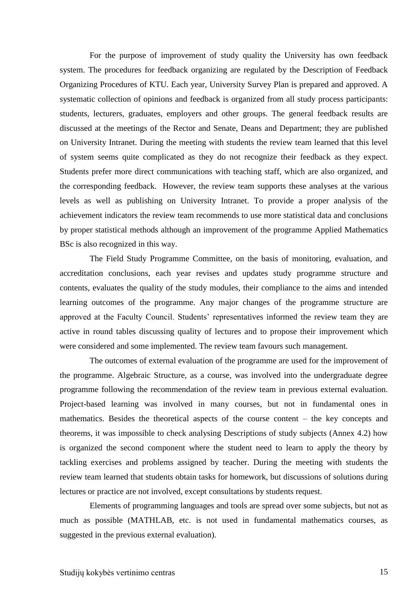For the purpose of improvement of study quality the University has own feedback system. The procedures for feedback organizing are regulated by the Description of Feedback Organizing Procedures of KTU. Each year, University Survey Plan is prepared and approved. A systematic collection of opinions and feedback is organized from all study process participants: students, lecturers, graduates, employers and other groups. The general feedback results are discussed at the meetings of the Rector and Senate, Deans and Department; they are published on University Intranet. During the meeting with students the review team learned that this level of system seems quite complicated as they do not recognize their feedback as they expect. Students prefer more direct communications with teaching staff, which are also organized, and the corresponding feedback. However, the review team supports these analyses at the various levels as well as publishing on University Intranet. To provide a proper analysis of the achievement indicators the review team recommends to use more statistical data and conclusions by proper statistical methods although an improvement of the programme Applied Mathematics BSc is also recognized in this way.

The Field Study Programme Committee, on the basis of monitoring, evaluation, and accreditation conclusions, each year revises and updates study programme structure and contents, evaluates the quality of the study modules, their compliance to the aims and intended learning outcomes of the programme. Any major changes of the programme structure are approved at the Faculty Council. Students' representatives informed the review team they are active in round tables discussing quality of lectures and to propose their improvement which were considered and some implemented. The review team favours such management.

The outcomes of external evaluation of the programme are used for the improvement of the programme. Algebraic Structure, as a course, was involved into the undergraduate degree programme following the recommendation of the review team in previous external evaluation. Project-based learning was involved in many courses, but not in fundamental ones in mathematics. Besides the theoretical aspects of the course content – the key concepts and theorems, it was impossible to check analysing Descriptions of study subjects (Annex 4.2) how is organized the second component where the student need to learn to apply the theory by tackling exercises and problems assigned by teacher. During the meeting with students the review team learned that students obtain tasks for homework, but discussions of solutions during lectures or practice are not involved, except consultations by students request.

Elements of programming languages and tools are spread over some subjects, but not as much as possible (MATHLAB, etc. is not used in fundamental mathematics courses, as suggested in the previous external evaluation).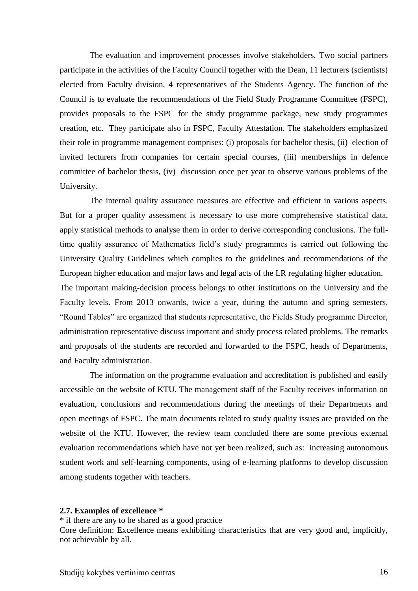The evaluation and improvement processes involve stakeholders. Two social partners participate in the activities of the Faculty Council together with the Dean, 11 lecturers (scientists) elected from Faculty division, 4 representatives of the Students Agency. The function of the Council is to evaluate the recommendations of the Field Study Programme Committee (FSPC), provides proposals to the FSPC for the study programme package, new study programmes creation, etc. They participate also in FSPC, Faculty Attestation. The stakeholders emphasized their role in programme management comprises: (i) proposals for bachelor thesis, (ii) election of invited lecturers from companies for certain special courses, (iii) memberships in defence committee of bachelor thesis, (iv) discussion once per year to observe various problems of the University.

The internal quality assurance measures are effective and efficient in various aspects. But for a proper quality assessment is necessary to use more comprehensive statistical data, apply statistical methods to analyse them in order to derive corresponding conclusions. The fulltime quality assurance of Mathematics field's study programmes is carried out following the University Quality Guidelines which complies to the guidelines and recommendations of the European higher education and major laws and legal acts of the LR regulating higher education. The important making-decision process belongs to other institutions on the University and the Faculty levels. From 2013 onwards, twice a year, during the autumn and spring semesters, "Round Tables" are organized that students representative, the Fields Study programme Director, administration representative discuss important and study process related problems. The remarks and proposals of the students are recorded and forwarded to the FSPC, heads of Departments, and Faculty administration.

The information on the programme evaluation and accreditation is published and easily accessible on the website of KTU. The management staff of the Faculty receives information on evaluation, conclusions and recommendations during the meetings of their Departments and open meetings of FSPC. The main documents related to study quality issues are provided on the website of the KTU. However, the review team concluded there are some previous external evaluation recommendations which have not yet been realized, such as: increasing autonomous student work and self-learning components, using of e-learning platforms to develop discussion among students together with teachers.

#### <span id="page-15-0"></span>**2.7. Examples of excellence \***

\* if there are any to be shared as a good practice

Core definition: Excellence means exhibiting characteristics that are very good and, implicitly, not achievable by all.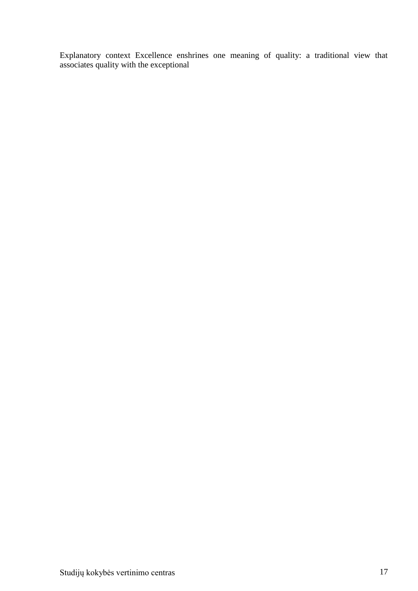Explanatory context Excellence enshrines one meaning of quality: a traditional view that associates quality with the exceptional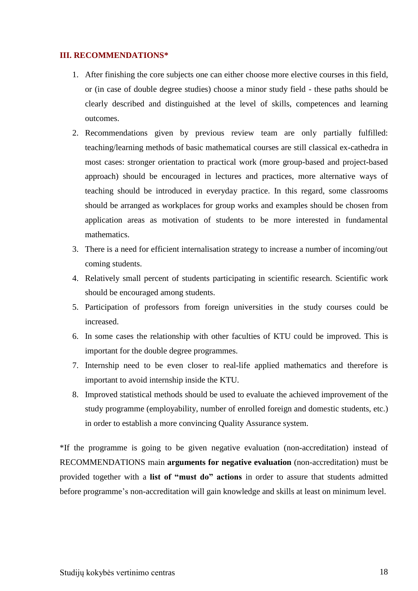## <span id="page-17-0"></span>**III. RECOMMENDATIONS\***

- 1. After finishing the core subjects one can either choose more elective courses in this field, or (in case of double degree studies) choose a minor study field - these paths should be clearly described and distinguished at the level of skills, competences and learning outcomes.
- 2. Recommendations given by previous review team are only partially fulfilled: teaching/learning methods of basic mathematical courses are still classical ex-cathedra in most cases: stronger orientation to practical work (more group-based and project-based approach) should be encouraged in lectures and practices, more alternative ways of teaching should be introduced in everyday practice. In this regard, some classrooms should be arranged as workplaces for group works and examples should be chosen from application areas as motivation of students to be more interested in fundamental mathematics.
- 3. There is a need for efficient internalisation strategy to increase a number of incoming/out coming students.
- 4. Relatively small percent of students participating in scientific research. Scientific work should be encouraged among students.
- 5. Participation of professors from foreign universities in the study courses could be increased.
- 6. In some cases the relationship with other faculties of KTU could be improved. This is important for the double degree programmes.
- 7. Internship need to be even closer to real-life applied mathematics and therefore is important to avoid internship inside the KTU.
- 8. Improved statistical methods should be used to evaluate the achieved improvement of the study programme (employability, number of enrolled foreign and domestic students, etc.) in order to establish a more convincing Quality Assurance system.

\*If the programme is going to be given negative evaluation (non-accreditation) instead of RECOMMENDATIONS main **arguments for negative evaluation** (non-accreditation) must be provided together with a **list of "must do" actions** in order to assure that students admitted before programme's non-accreditation will gain knowledge and skills at least on minimum level.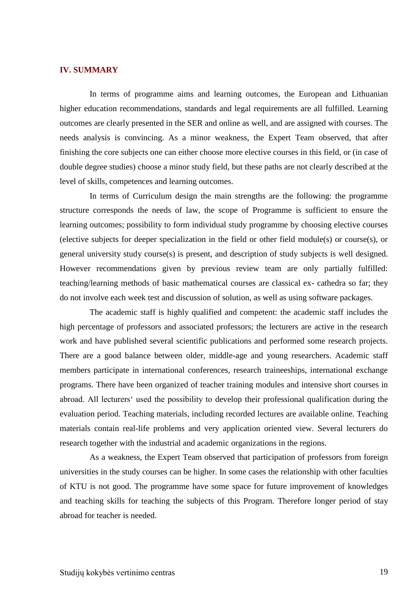#### <span id="page-18-0"></span>**IV. SUMMARY**

In terms of programme aims and learning outcomes, the European and Lithuanian higher education recommendations, standards and legal requirements are all fulfilled. Learning outcomes are clearly presented in the SER and online as well, and are assigned with courses. The needs analysis is convincing. As a minor weakness, the Expert Team observed, that after finishing the core subjects one can either choose more elective courses in this field, or (in case of double degree studies) choose a minor study field, but these paths are not clearly described at the level of skills, competences and learning outcomes.

In terms of Curriculum design the main strengths are the following: the programme structure corresponds the needs of law, the scope of Programme is sufficient to ensure the learning outcomes; possibility to form individual study programme by choosing elective courses (elective subjects for deeper specialization in the field or other field module(s) or course(s), or general university study course(s) is present, and description of study subjects is well designed. However recommendations given by previous review team are only partially fulfilled: teaching/learning methods of basic mathematical courses are classical ex- cathedra so far; they do not involve each week test and discussion of solution, as well as using software packages.

The academic staff is highly qualified and competent: the academic staff includes the high percentage of professors and associated professors; the lecturers are active in the research work and have published several scientific publications and performed some research projects. There are a good balance between older, middle-age and young researchers. Academic staff members participate in international conferences, research traineeships, international exchange programs. There have been organized of teacher training modules and intensive short courses in abroad. All lecturers' used the possibility to develop their professional qualification during the evaluation period. Teaching materials, including recorded lectures are available online. Teaching materials contain real-life problems and very application oriented view. Several lecturers do research together with the industrial and academic organizations in the regions.

As a weakness, the Expert Team observed that participation of professors from foreign universities in the study courses can be higher. In some cases the relationship with other faculties of KTU is not good. The programme have some space for future improvement of knowledges and teaching skills for teaching the subjects of this Program. Therefore longer period of stay abroad for teacher is needed.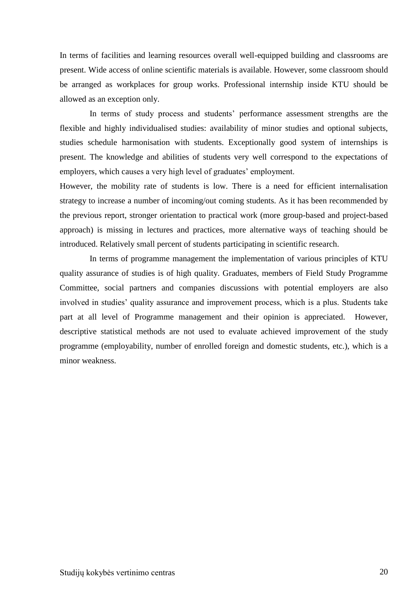In terms of facilities and learning resources overall well-equipped building and classrooms are present. Wide access of online scientific materials is available. However, some classroom should be arranged as workplaces for group works. Professional internship inside KTU should be allowed as an exception only.

In terms of study process and students' performance assessment strengths are the flexible and highly individualised studies: availability of minor studies and optional subjects, studies schedule harmonisation with students. Exceptionally good system of internships is present. The knowledge and abilities of students very well correspond to the expectations of employers, which causes a very high level of graduates' employment.

However, the mobility rate of students is low. There is a need for efficient internalisation strategy to increase a number of incoming/out coming students. As it has been recommended by the previous report, stronger orientation to practical work (more group-based and project-based approach) is missing in lectures and practices, more alternative ways of teaching should be introduced. Relatively small percent of students participating in scientific research.

In terms of programme management the implementation of various principles of KTU quality assurance of studies is of high quality. Graduates, members of Field Study Programme Committee, social partners and companies discussions with potential employers are also involved in studies' quality assurance and improvement process, which is a plus. Students take part at all level of Programme management and their opinion is appreciated. However, descriptive statistical methods are not used to evaluate achieved improvement of the study programme (employability, number of enrolled foreign and domestic students, etc.), which is a minor weakness.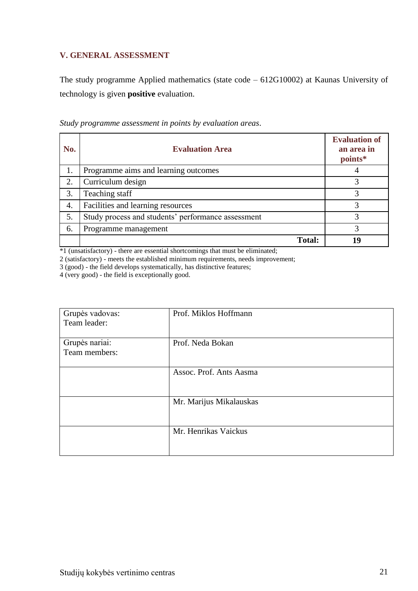## <span id="page-20-0"></span>**V. GENERAL ASSESSMENT**

The study programme Applied mathematics (state code – 612G10002) at Kaunas University of technology is given **positive** evaluation.

| No. | <b>Evaluation Area</b>                             | <b>Evaluation of</b><br>an area in<br>points* |
|-----|----------------------------------------------------|-----------------------------------------------|
| 1.  | Programme aims and learning outcomes               |                                               |
| 2.  | Curriculum design                                  | 3                                             |
| 3.  | Teaching staff                                     | 3                                             |
| 4.  | Facilities and learning resources                  |                                               |
| 5.  | Study process and students' performance assessment | 3                                             |
| 6.  | Programme management                               | 3                                             |
|     | <b>Total:</b>                                      | 19                                            |

*Study programme assessment in points by evaluation areas*.

\*1 (unsatisfactory) - there are essential shortcomings that must be eliminated;

2 (satisfactory) - meets the established minimum requirements, needs improvement;

3 (good) - the field develops systematically, has distinctive features;

4 (very good) - the field is exceptionally good.

| Grupės vadovas:<br>Team leader: | Prof. Miklos Hoffmann   |
|---------------------------------|-------------------------|
| Grupės nariai:<br>Team members: | Prof. Neda Bokan        |
|                                 | Assoc. Prof. Ants Aasma |
|                                 | Mr. Marijus Mikalauskas |
|                                 | Mr. Henrikas Vaickus    |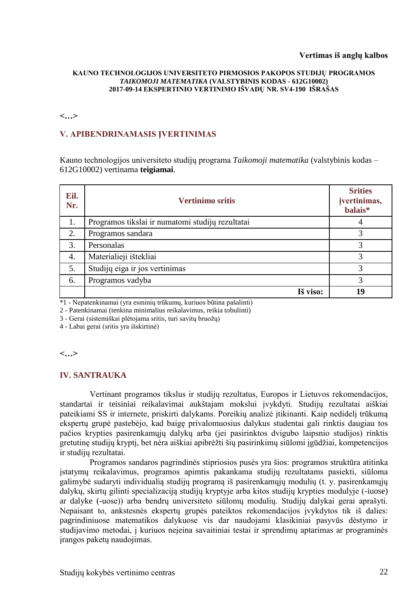## **Vertimas iš anglų kalbos**

#### **KAUNO TECHNOLOGIJOS UNIVERSITETO PIRMOSIOS PAKOPOS STUDIJŲ PROGRAMOS**  *TAIKOMOJI MATEMATIKA* **(VALSTYBINIS KODAS - 612G10002) 2017-09-14 EKSPERTINIO VERTINIMO IŠVADŲ NR. SV4-190 IŠRAŠAS**

#### **<…>**

## **V. APIBENDRINAMASIS ĮVERTINIMAS**

Kauno technologijos universiteto studijų programa *Taikomoji matematika* (valstybinis kodas – 612G10002) vertinama **teigiamai**.

| Eil.<br>Nr. | <b>Vertinimo sritis</b>                          | <b>Srities</b><br>įvertinimas,<br>balais* |
|-------------|--------------------------------------------------|-------------------------------------------|
| 1.          | Programos tikslai ir numatomi studijų rezultatai |                                           |
| 2.          | Programos sandara                                | 3                                         |
| 3.          | Personalas                                       | 3                                         |
| 4.          | Materialieji ištekliai                           | 3                                         |
| 5.          | Studijų eiga ir jos vertinimas                   | 3                                         |
| 6.          | Programos vadyba                                 | 3                                         |
|             | Iš viso:                                         | 19                                        |

\*1 - Nepatenkinamai (yra esminių trūkumų, kuriuos būtina pašalinti)

2 - Patenkinamai (tenkina minimalius reikalavimus, reikia tobulinti)

3 - Gerai (sistemiškai plėtojama sritis, turi savitų bruožų)

4 - Labai gerai (sritis yra išskirtinė)

**<…>**

## **IV. SANTRAUKA**

Vertinant programos tikslus ir studijų rezultatus, Europos ir Lietuvos rekomendacijos, standartai ir teisiniai reikalavimai aukštajam mokslui įvykdyti. Studijų rezultatai aiškiai pateikiami SS ir internete, priskirti dalykams. Poreikių analizė įtikinanti. Kaip nedidelį trūkumą ekspertų grupė pastebėjo, kad baigę privalomuosius dalykus studentai gali rinktis daugiau tos pačios krypties pasirenkamųjų dalykų arba (jei pasirinktos dvigubo laipsnio studijos) rinktis gretutinę studijų kryptį, bet nėra aiškiai apibrėžti šių pasirinkimų siūlomi įgūdžiai, kompetencijos ir studijų rezultatai.

Programos sandaros pagrindinės stipriosios pusės yra šios: programos struktūra atitinka įstatymų reikalavimus, programos apimtis pakankama studijų rezultatams pasiekti, siūloma galimybė sudaryti individualią studijų programą iš pasirenkamųjų modulių (t. y. pasirenkamųjų dalykų, skirtų gilinti specializaciją studijų kryptyje arba kitos studijų krypties modulyje (-iuose) ar dalyke (-uose)) arba bendrų universiteto siūlomų modulių. Studijų dalykai gerai aprašyti. Nepaisant to, ankstesnės ekspertų grupės pateiktos rekomendacijos įvykdytos tik iš dalies: pagrindiniuose matematikos dalykuose vis dar naudojami klasikiniai pasyvūs dėstymo ir studijavimo metodai, į kuriuos neįeina savaitiniai testai ir sprendimų aptarimas ar programinės įrangos paketų naudojimas.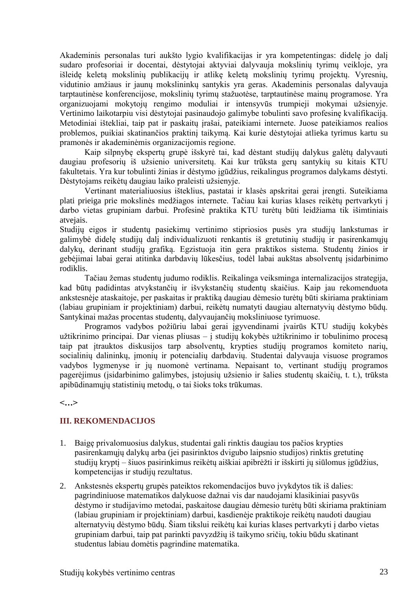Akademinis personalas turi aukšto lygio kvalifikacijas ir yra kompetentingas: didelę jo dalį sudaro profesoriai ir docentai, dėstytojai aktyviai dalyvauja mokslinių tyrimų veikloje, yra išleidę keletą mokslinių publikacijų ir atlikę keletą mokslinių tyrimų projektų. Vyresnių, vidutinio amžiaus ir jaunų mokslininkų santykis yra geras. Akademinis personalas dalyvauja tarptautinėse konferencijose, mokslinių tyrimų stažuotėse, tarptautinėse mainų programose. Yra organizuojami mokytojų rengimo moduliai ir intensyvūs trumpieji mokymai užsienyje. Vertinimo laikotarpiu visi dėstytojai pasinaudojo galimybe tobulinti savo profesinę kvalifikaciją. Metodiniai ištekliai, taip pat ir paskaitų įrašai, pateikiami internete. Juose pateikiamos realios problemos, puikiai skatinančios praktinį taikymą. Kai kurie dėstytojai atlieka tyrimus kartu su pramonės ir akademinėmis organizacijomis regione.

Kaip silpnybę ekspertų grupė išskyrė tai, kad dėstant studijų dalykus galėtų dalyvauti daugiau profesorių iš užsienio universitetų. Kai kur trūksta gerų santykių su kitais KTU fakultetais. Yra kur tobulinti žinias ir dėstymo įgūdžius, reikalingus programos dalykams dėstyti. Dėstytojams reikėtų daugiau laiko praleisti užsienyje.

Vertinant materialiuosius išteklius, pastatai ir klasės apskritai gerai įrengti. Suteikiama plati prieiga prie mokslinės medžiagos internete. Tačiau kai kurias klases reikėtų pertvarkyti į darbo vietas grupiniam darbui. Profesinė praktika KTU turėtų būti leidžiama tik išimtiniais atvejais.

Studijų eigos ir studentų pasiekimų vertinimo stipriosios pusės yra studijų lankstumas ir galimybė didelę studijų dalį individualizuoti renkantis iš gretutinių studijų ir pasirenkamųjų dalykų, derinant studijų grafiką. Egzistuoja itin gera praktikos sistema. Studentų žinios ir gebėjimai labai gerai atitinka darbdavių lūkesčius, todėl labai aukštas absolventų įsidarbinimo rodiklis.

Tačiau žemas studentų judumo rodiklis. Reikalinga veiksminga internalizacijos strategija, kad būtų padidintas atvykstančių ir išvykstančių studentų skaičius. Kaip jau rekomenduota ankstesnėje ataskaitoje, per paskaitas ir praktiką daugiau dėmesio turėtų būti skiriama praktiniam (labiau grupiniam ir projektiniam) darbui, reikėtų numatyti daugiau alternatyvių dėstymo būdų. Santykinai mažas procentas studentų, dalyvaujančių moksliniuose tyrimuose.

Programos vadybos požiūriu labai gerai įgyvendinami įvairūs KTU studijų kokybės užtikrinimo principai. Dar vienas pliusas – į studijų kokybės užtikrinimo ir tobulinimo procesą taip pat įtrauktos diskusijos tarp absolventų, krypties studijų programos komiteto narių, socialinių dalininkų, įmonių ir potencialių darbdavių. Studentai dalyvauja visuose programos vadybos lygmenyse ir jų nuomonė vertinama. Nepaisant to, vertinant studijų programos pagerėjimus (įsidarbinimo galimybes, įstojusių užsienio ir šalies studentų skaičių, t. t.), trūksta apibūdinamųjų statistinių metodų, o tai šioks toks trūkumas.

**<…>**

## **III. REKOMENDACIJOS**

- 1. Baigę privalomuosius dalykus, studentai gali rinktis daugiau tos pačios krypties pasirenkamųjų dalykų arba (jei pasirinktos dvigubo laipsnio studijos) rinktis gretutinę studijų kryptį – šiuos pasirinkimus reikėtų aiškiai apibrėžti ir išskirti jų siūlomus įgūdžius, kompetencijas ir studijų rezultatus.
- 2. Ankstesnės ekspertų grupės pateiktos rekomendacijos buvo įvykdytos tik iš dalies: pagrindiniuose matematikos dalykuose dažnai vis dar naudojami klasikiniai pasyvūs dėstymo ir studijavimo metodai, paskaitose daugiau dėmesio turėtų būti skiriama praktiniam (labiau grupiniam ir projektiniam) darbui, kasdienėje praktikoje reikėtų naudoti daugiau alternatyvių dėstymo būdų. Šiam tikslui reikėtų kai kurias klases pertvarkyti į darbo vietas grupiniam darbui, taip pat parinkti pavyzdžių iš taikymo sričių, tokiu būdu skatinant studentus labiau domėtis pagrindine matematika.